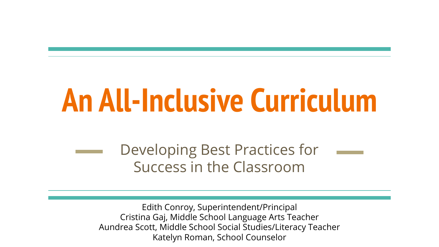# **An All-Inclusive Curriculum**

Developing Best Practices for Success in the Classroom

Edith Conroy, Superintendent/Principal Cristina Gaj, Middle School Language Arts Teacher Aundrea Scott, Middle School Social Studies/Literacy Teacher Katelyn Roman, School Counselor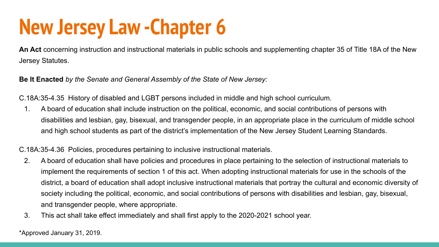### **New Jersey Law -Chapter 6**

**An Act** concerning instruction and instructional materials in public schools and supplementing chapter 35 of Title 18A of the New Jersey Statutes.

**Be It Enacted** *by the Senate and General Assembly of the State of New Jersey:*

C.18A:35-4.35 History of disabled and LGBT persons included in middle and high school curriculum.

1. A board of education shall include instruction on the political, economic, and social contributions of persons with disabilities and lesbian, gay, bisexual, and transgender people, in an appropriate place in the curriculum of middle school and high school students as part of the district's implementation of the New Jersey Student Learning Standards.

C.18A:35-4.36 Policies, procedures pertaining to inclusive instructional materials.

- 2. A board of education shall have policies and procedures in place pertaining to the selection of instructional materials to implement the requirements of section 1 of this act. When adopting instructional materials for use in the schools of the district, a board of education shall adopt inclusive instructional materials that portray the cultural and economic diversity of society including the political, economic, and social contributions of persons with disabilities and lesbian, gay, bisexual, and transgender people, where appropriate.
- 3. This act shall take effect immediately and shall first apply to the 2020-2021 school year.

\*Approved January 31, 2019.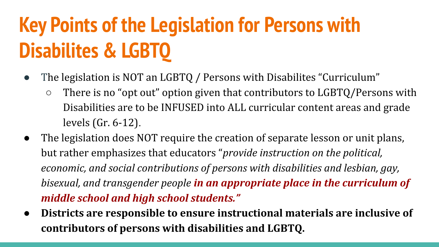## **Key Points of the Legislation for Persons with Disabilites & LGBTQ**

- The legislation is NOT an LGBTQ / Persons with Disabilites "Curriculum"
	- $\circ$  There is no "opt out" option given that contributors to LGBTQ/Persons with Disabilities are to be INFUSED into ALL curricular content areas and grade levels (Gr. 6-12).
- The legislation does NOT require the creation of separate lesson or unit plans, but rather emphasizes that educators "*provide instruction on the political, economic, and social contributions of persons with disabilities and lesbian, gay, bisexual, and transgender people in an appropriate place in the curriculum of middle school and high school students."*
- **● Districts are responsible to ensure instructional materials are inclusive of contributors of persons with disabilities and LGBTQ.**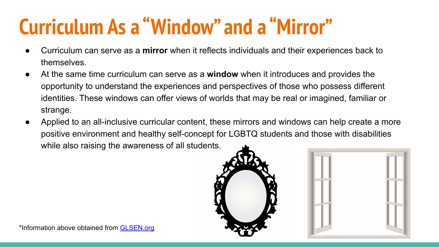### **Curriculum As a "Window" and a "Mirror"**

- Curriculum can serve as a **mirror** when it reflects individuals and their experiences back to themselves.
- At the same time curriculum can serve as a **window** when it introduces and provides the opportunity to understand the experiences and perspectives of those who possess different identities. These windows can offer views of worlds that may be real or imagined, familiar or strange.
- Applied to an all-inclusive curricular content, these mirrors and windows can help create a more positive environment and healthy self-concept for LGBTQ students and those with disabilities while also raising the awareness of all students.



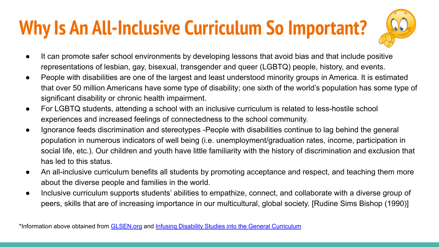### **Why Is An All-Inclusive Curriculum So Important?**



- It can promote safer school environments by developing lessons that avoid bias and that include positive representations of lesbian, gay, bisexual, transgender and queer (LGBTQ) people, history, and events.
- People with disabilities are one of the largest and least understood minority groups in America. It is estimated that over 50 million Americans have some type of disability; one sixth of the world's population has some type of significant disability or chronic health impairment.
- For LGBTQ students, attending a school with an inclusive curriculum is related to less-hostile school experiences and increased feelings of connectedness to the school community.
- Ignorance feeds discrimination and stereotypes -People with disabilities continue to lag behind the general population in numerous indicators of well being (i.e. unemployment/graduation rates, income, participation in social life, etc.). Our children and youth have little familiarity with the history of discrimination and exclusion that has led to this status.
- An all-inclusive curriculum benefits all students by promoting acceptance and respect, and teaching them more about the diverse people and families in the world.
- Inclusive curriculum supports students' abilities to empathize, connect, and collaborate with a diverse group of peers, skills that are of increasing importance in our multicultural, global society. [Rudine Sims Bishop (1990)]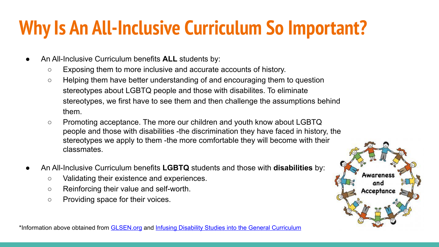### **Why Is An All-Inclusive Curriculum So Important?**

- An All-Inclusive Curriculum benefits **ALL** students by:
	- $\circ$  Exposing them to more inclusive and accurate accounts of history.
	- Helping them have better understanding of and encouraging them to question stereotypes about LGBTQ people and those with disabilites. To eliminate stereotypes, we first have to see them and then challenge the assumptions behind them.
	- Promoting acceptance. The more our children and youth know about LGBTQ people and those with disabilities -the discrimination they have faced in history, the stereotypes we apply to them -the more comfortable they will become with their classmates.
- An All-Inclusive Curriculum benefits **LGBTQ** students and those with **disabilities** by:
	- Validating their existence and experiences.
	- Reinforcing their value and self-worth.
	- Providing space for their voices.

Acceptance

\*Information above obtained from **[GLSEN.org](https://www.glsen.org/sites/default/files/2019-11/GLSEN_LGBTQ_Inclusive_Curriculum_Resource_2019_0.pdf) and [Infusing Disability Studies into the General Curriculum](https://www.mdsc.org/mdsc_Content/documents/Infusing%20Disability%20Studies%20into%20the%20General%20Curriculum.pdf)**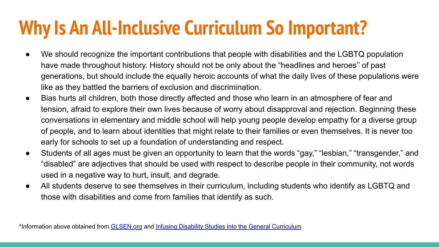### **Why Is An All-Inclusive Curriculum So Important?**

- We should recognize the important contributions that people with disabilities and the LGBTQ population have made throughout history. History should not be only about the "headlines and heroes'' of past generations, but should include the equally heroic accounts of what the daily lives of these populations were like as they battled the barriers of exclusion and discrimination.
- Bias hurts all children, both those directly affected and those who learn in an atmosphere of fear and tension, afraid to explore their own lives because of worry about disapproval and rejection. Beginning these conversations in elementary and middle school will help young people develop empathy for a diverse group of people, and to learn about identities that might relate to their families or even themselves. It is never too early for schools to set up a foundation of understanding and respect.
- Students of all ages must be given an opportunity to learn that the words "gay," "lesbian," "transgender," and "disabled" are adjectives that should be used with respect to describe people in their community, not words used in a negative way to hurt, insult, and degrade.
- All students deserve to see themselves in their curriculum, including students who identify as LGBTQ and those with disabilities and come from families that identify as such.

\*Information above obtained from [GLSEN.org](https://www.glsen.org/sites/default/files/2019-11/GLSEN_LGBTQ_Inclusive_Curriculum_Resource_2019_0.pdf) and [Infusing Disability Studies into the General Curriculum](https://www.mdsc.org/mdsc_Content/documents/Infusing%20Disability%20Studies%20into%20the%20General%20Curriculum.pdf)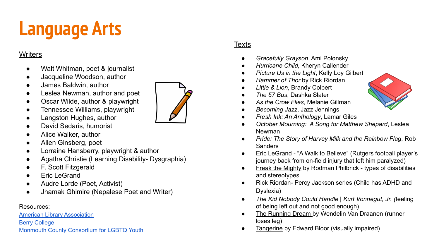### **Language Arts**

#### **Writers**

- Walt Whitman, poet & journalist
- Jacqueline Woodson, author
- James Baldwin, author
- Leslea Newman, author and poet
- Oscar Wilde, author & playwright
- Tennessee Williams, playwright
- Langston Hughes, author
- David Sedaris, humorist
- Alice Walker, author
- Allen Ginsberg, poet
- Lorraine Hansberry, playwright & author
- Agatha Christie (Learning Disability- Dysgraphia)
- F. Scott Fitzgerald
- **Eric LeGrand**
- Audre Lorde (Poet, Activist)
- Jhamak Ghimire (Nepalese Poet and Writer)

#### Resources:

[American Library Association](http://www.ala.org/awardsgrants/awards/32163/select)

[Berry College](https://libguides.berry.edu/stonewall/cya)

#### [Monmouth County Consortium for LGBTQ Youth](https://makeitbetter4youth.org/resources/)

#### **Texts**

- *Gracefully Grayson*, Ami Polonsky
- *Hurricane Child,* Kheryn Callender
- *Picture Us in the Light*, Kelly Loy Gilbert
- *Hammer of Thor* by Rick Riordan
- *Little & Lion*, Brandy Colbert
- *The 57 Bus*, Dashka Slater
- *As the Crow Flies*, Melanie Gillman
- *Becoming Jazz*, Jazz Jennings
- *Fresh Ink: An Anthology*, Lamar Giles
- *October Mourning: A Song for Matthew Shepard*, Leslea Newman
- *Pride: The Story of Harvey Milk and the Rainbow Flag*, Rob Sanders
- Eric LeGrand "A Walk to Believe" (Rutgers football player's journey back from on-field injury that left him paralyzed)
- Freak the Mighty by Rodman Philbrick types of disabilities and stereotypes
- Rick Riordan- Percy Jackson series (Child has ADHD and Dyslexia)
- *The Kid Nobody Could Handle | Kurt Vonnegut, Jr. (*feeling of being left out and not good enough)
- The Running Dream by Wendelin Van Draanen (runner loses leg)
- Tangerine by Edward Bloor (visually impaired)

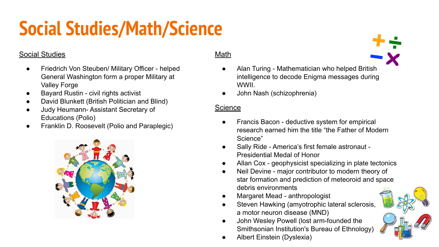### **Social Studies/Math/Science**

### Social Studies

- Friedrich Von Steuben/ Military Officer helped General Washington form a proper Military at Valley Forge
- Bayard Rustin civil rights activist
- David Blunkett (British Politician and Blind)
- **Judy Heumann-Assistant Secretary of** Educations (Polio)
- Franklin D. Roosevelt (Polio and Paraplegic)



#### Math

- Alan Turing Mathematician who helped British intelligence to decode Enigma messages during WWII.
- John Nash (schizophrenia)

#### **Science**

- **●** Francis Bacon deductive system for empirical research earned him the title "the Father of Modern Science"
- **●** Sally Ride America's first female astronaut Presidential Medal of Honor
- Allan Cox geophysicist specializing in plate tectonics
- Neil Devine major contributor to modern theory of star formation and prediction of meteoroid and space debris environments
- Margaret Mead anthropologist
- Steven Hawking (amyotrophic lateral sclerosis, a motor neuron disease (MND)
- John Wesley Powell (lost arm-founded the Smithsonian Institution's Bureau of Ethnology)
- Albert Einstein (Dyslexia)

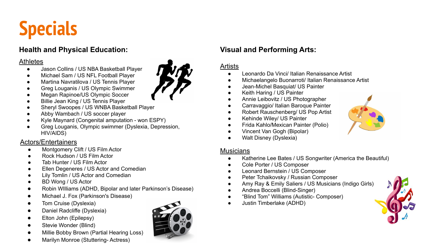### **Specials**

#### **Health and Physical Education:**

#### **Athletes**

- Jason Collins / US NBA Basketball Player
- Michael Sam / US NFL Football Player
- Martina Navratilova / US Tennis Player
- Greg Louganis / US Olympic Swimmer
- Megan Rapinoe/US Olympic Soccer
- **Billie Jean King / US Tennis Player**
- Sheryl Swoopes / US WNBA Basketball Player
- Abby Wambach / US soccer player
- Kyle Maynard (Congenital amputation won ESPY)
- Greg Louganis, Olympic swimmer (Dyslexia, Depression, HIV/AIDS)

#### Actors/Entertainers

- Montgomery Clift / US Film Actor
- Rock Hudson / US Film Actor
- Tab Hunter / US Film Actor
- Ellen Degeneres / US Actor and Comedian
- Lily Tomlin / US Actor and Comedian
- BD Wong / US Actor
- Robin Williams (ADHD, Bipolar and later Parkinson's Disease)
- Michael J. Fox (Parkinson's Disease)
- Tom Cruise (Dyslexia)
- Daniel Radcliffe (Dyslexia)
- Elton John (Epilepsy)
- Stevie Wonder (Blind)
- Millie Bobby Brown (Partial Hearing Loss)
- Marilyn Monroe (Stuttering- Actress)



#### **Visual and Performing Arts:**

#### **Artists**

- Leonardo Da Vinci/ Italian Renaissance Artist
- Michaelangelo Buonarroti/ Italian Renaissance Artist
- Jean-Michel Basquiat/ US Painter
- Keith Haring / US Painter
- Annie Leibovitz / US Photographer
- Carravaggio/ Italian Baroque Painter
- Robert Rauschenberg/ US Pop Artist
- Kehinde Wiley/ US Painter
- Frida Kahlo/Mexican Painter (Polio)
- Vincent Van Gogh (Bipolar)
- Walt Disney (Dyslexia)

#### **Musicians**

- Katherine Lee Bates / US Songwriter (America the Beautiful)
- Cole Porter / US Composer
- Leonard Bernstein / US Composer
- Peter Tchaikovsky / Russian Composer
- Amy Ray & Emily Saliers / US Musicians (Indigo Girls)
- Andrea Boccelli (Blind-Singer)
- "Blind Tom" Williams (Autistic- Composer)
- Justin Timberlake (ADHD)



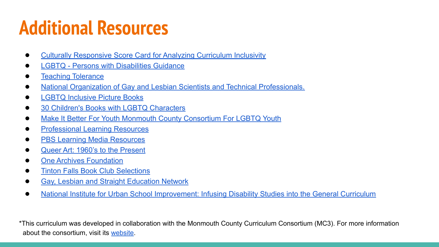### **Additional Resources**

- [Culturally Responsive Score Card for Analyzing Curriculum Inclusivity](https://research.steinhardt.nyu.edu/scmsAdmin/media/users/atn293/ejroc/CRE-Rubric-2018-190211.pdf?_ga=2.135605105.1360066926.1594736503-1892553671.1594736503)
- [LGBTQ Persons with Disabilities Guidance](http://njpsa.org/new-law-discussion-njdoe-disabled-and-lgbtq-working-group-curriculum-meeting/)
- **[Teaching Tolerance](https://www.tolerance.org/topics/gender-sexual-identity)**
- [National Organization of Gay and Lesbian Scientists and Technical Professionals.](https://www.noglstp.org/publications-documents/queer-scientists-of-historical-note/)
- [LGBTQ Inclusive Picture Books](https://drive.google.com/file/d/1_0bHP4oY1UXOnXBOmz2HsIY9cSuMlBaN/view?usp=sharing)
- [30 Children's Books with LGBTQ Characters](https://drive.google.com/file/d/1LYtKkudPJCgei299E1fCOUcDkcJMzYIO/view?usp=sharing)
- [Make It Better For Youth Monmouth County Consortium For LGBTQ Youth](http://makeitbetter4youth.org/resources/)
- **[Professional Learning Resources](http://njpsa.org/professional-learning-resource-links/)**
- **[PBS Learning Media Resources](https://www.pbslearningmedia.org/)**
- [Queer Art: 1960's to the Present](http://arthistoryteachingresources.org/lessons/queer-art-1960s-to-the-present/)
- [One Archives Foundation](https://www.onearchives.org/)
- [Tinton Falls Book Club Selections](https://docs.google.com/document/d/1a25Bdxr9Ge1ukD6NxTQ-g2KLtMvYUn7lSwzWtPq5SRE/edit?usp=sharing)
- [Gay, Lesbian and Straight Education Network](https://www.glsen.org/)
- [National Institute for Urban School Improvement: Infusing Disability Studies into the General Curriculum](https://www.mdsc.org/mdsc_Content/documents/Infusing%20Disability%20Studies%20into%20the%20General%20Curriculum.pdf)

\*This curriculum was developed in collaboration with the Monmouth County Curriculum Consortium (MC3). For more information about the consortium, visit its [website](https://sites.google.com/view/mc3nj/home?authuser=0).